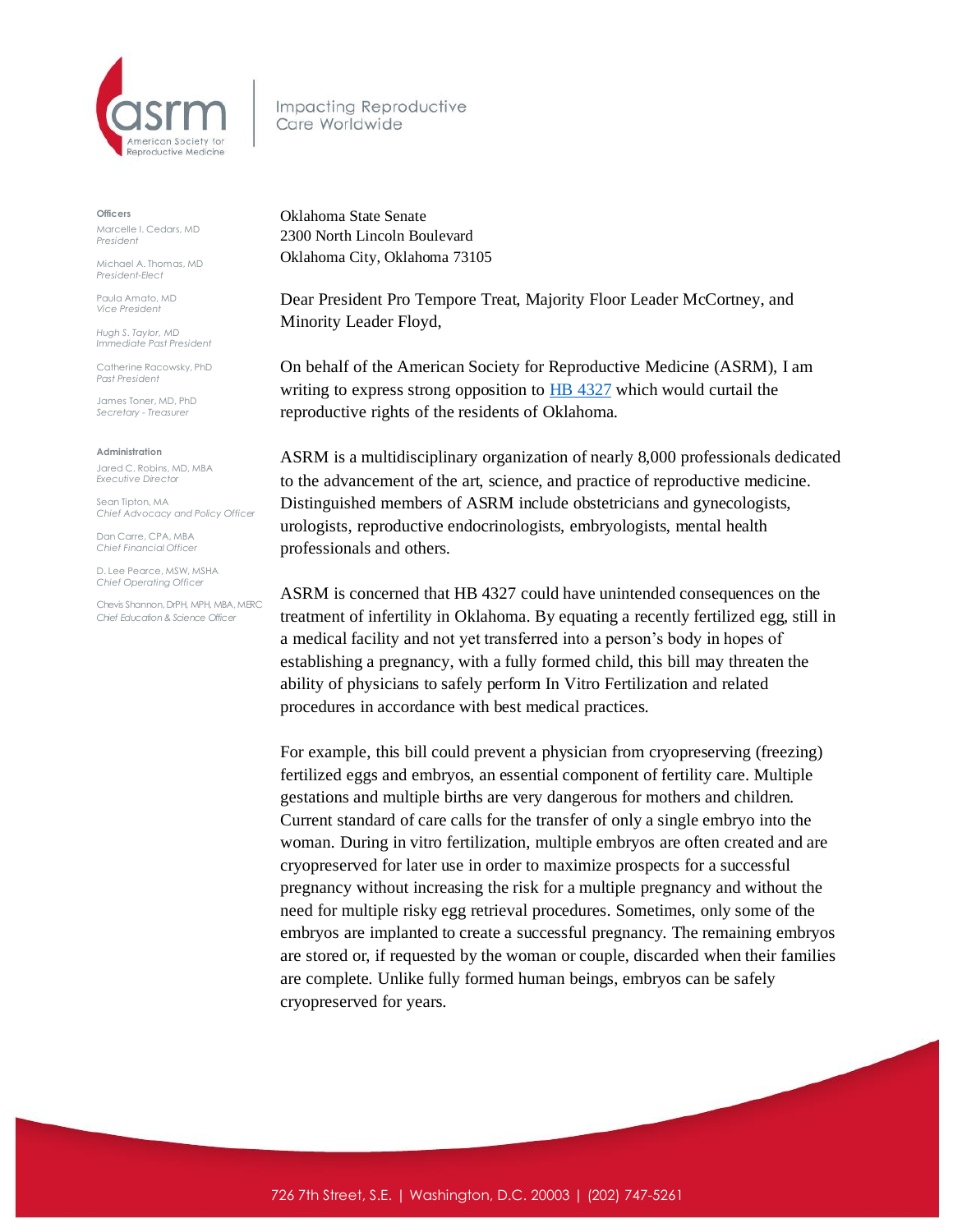

Impacting Reproductive Care Worldwide

**Officers**

Marcelle I. Cedars, MD *President*

Michael A. Thomas, MD *President-Elect*

Paula Amato, MD *Vice President*

*Hugh S. Taylor, MD Immediate Past President*

Catherine Racowsky, PhD *Past President*

James Toner, MD, PhD *Secretary - Treasurer* 

**Administration**

Jared C. Robins, MD, MBA *Executive Director*

Sean Tipton, MA *Chief Advocacy and Policy Officer*

Dan Carre, CPA, MBA *Chief Financial Officer*

D. Lee Pearce, MSW, MSHA *Chief Operating Officer* 

Chevis Shannon, DrPH, MPH, MBA, MERC *Chief Education & Science Officer*

Oklahoma State Senate 2300 North Lincoln Boulevard Oklahoma City, Oklahoma 73105

Dear President Pro Tempore Treat, Majority Floor Leader McCortney, and Minority Leader Floyd,

On behalf of the American Society for Reproductive Medicine (ASRM), I am writing to express strong opposition to **HB** 4327 which would curtail the reproductive rights of the residents of Oklahoma.

ASRM is a multidisciplinary organization of nearly 8,000 professionals dedicated to the advancement of the art, science, and practice of reproductive medicine. Distinguished members of ASRM include obstetricians and gynecologists, urologists, reproductive endocrinologists, embryologists, mental health professionals and others.

ASRM is concerned that HB 4327 could have unintended consequences on the treatment of infertility in Oklahoma. By equating a recently fertilized egg, still in a medical facility and not yet transferred into a person's body in hopes of establishing a pregnancy, with a fully formed child, this bill may threaten the ability of physicians to safely perform In Vitro Fertilization and related procedures in accordance with best medical practices.

For example, this bill could prevent a physician from cryopreserving (freezing) fertilized eggs and embryos, an essential component of fertility care. Multiple gestations and multiple births are very dangerous for mothers and children. Current standard of care calls for the transfer of only a single embryo into the woman. During in vitro fertilization, multiple embryos are often created and are cryopreserved for later use in order to maximize prospects for a successful pregnancy without increasing the risk for a multiple pregnancy and without the need for multiple risky egg retrieval procedures. Sometimes, only some of the embryos are implanted to create a successful pregnancy. The remaining embryos are stored or, if requested by the woman or couple, discarded when their families are complete. Unlike fully formed human beings, embryos can be safely cryopreserved for years.